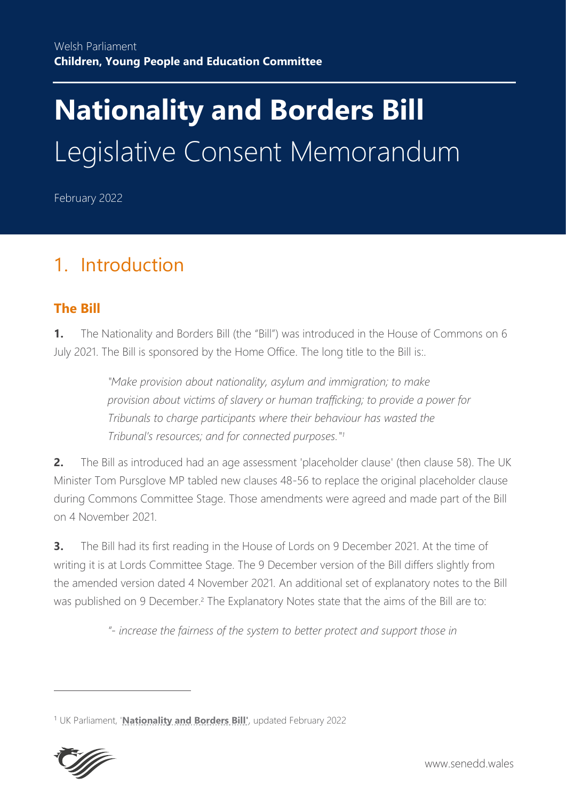# **Nationality and Borders Bill** Legislative Consent Memorandum

February 2022

# 1. Introduction

# **The Bill**

**1.** The Nationality and Borders Bill (the "Bill") was introduced in the House of Commons on 6 July 2021. The Bill is sponsored by the Home Office. The long title to the Bill is:.

> *"Make provision about nationality, asylum and immigration; to make provision about victims of slavery or human trafficking; to provide a power for Tribunals to charge participants where their behaviour has wasted the Tribunal's resources; and for connected purposes." 1*

**2.** The Bill as introduced had an age assessment 'placeholder clause' (then clause 58). The UK Minister Tom Pursglove MP tabled new clauses 48-56 to replace the original placeholder clause during Commons Committee Stage. Those amendments were agreed and made part of the Bill on 4 November 2021.

**3.** The Bill had its first reading in the House of Lords on 9 December 2021. At the time of writing it is at Lords Committee Stage. The 9 December version of the Bill differs slightly from the amended version dated 4 November 2021. An additional set of explanatory notes to the Bill was published on 9 December.<sup>2</sup> The Explanatory Notes state that the aims of the Bill are to:

*"- increase the fairness of the system to better protect and support those in*

<sup>1</sup> UK Parliament, '**[Nationality and Borders Bill'](https://bills.parliament.uk/bills/3023)**, updated February 2022

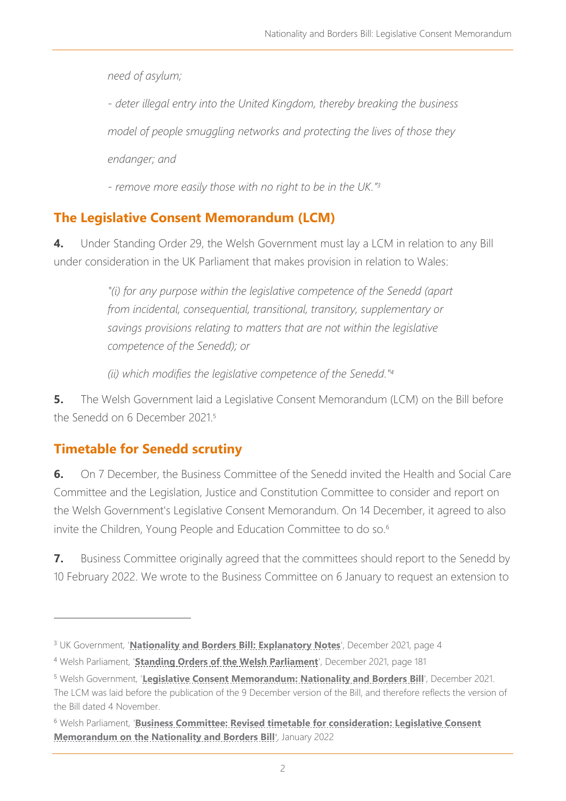*need of asylum;*

*- deter illegal entry into the United Kingdom, thereby breaking the business*

*model of people smuggling networks and protecting the lives of those they*

*endanger; and*

*- remove more easily those with no right to be in the UK." 3*

# **The Legislative Consent Memorandum (LCM)**

**4.** Under Standing Order 29, the Welsh Government must lay a LCM in relation to any Bill under consideration in the UK Parliament that makes provision in relation to Wales:

> *"(i) for any purpose within the legislative competence of the Senedd (apart from incidental, consequential, transitional, transitory, supplementary or savings provisions relating to matters that are not within the legislative competence of the Senedd); or*

*(ii) which modifies the legislative competence of the Senedd."<sup>4</sup>*

**5.** The Welsh Government laid a Legislative Consent Memorandum (LCM) on the Bill before the Senedd on 6 December 2021.<sup>5</sup>

# **Timetable for Senedd scrutiny**

**6.** On 7 December, the Business Committee of the Senedd invited the Health and Social Care Committee and the Legislation, Justice and Constitution Committee to consider and report on the Welsh Government's Legislative Consent Memorandum. On 14 December, it agreed to also invite the Children, Young People and Education Committee to do so.<sup>6</sup>

**7.** Business Committee originally agreed that the committees should report to the Senedd by 10 February 2022. We wrote to the Business Committee on 6 January to request an extension to

<sup>3</sup> UK Government, '**[Nationality and Borders Bill:](https://bills.parliament.uk/publications/44460/documents/1174) Explanatory Notes**', December 2021, page 4

<sup>4</sup> Welsh Parliament, '**[Standing Orders of the Welsh Parliament](https://senedd.wales/NAfW%20Documents/Assembly%20Business%20section%20documents/Standing_Orders/Clean_SOs.eng.pdf)**', December 2021, page 181

<sup>5</sup> Welsh Government, '**[Legislative Consent Memorandum: Nationality and Borders Bill](https://senedd.wales/media/pbvlwjy5/lcm-ld14719-e.pdf)**', December 2021. The LCM was laid before the publication of the 9 December version of the Bill, and therefore reflects the version of the Bill dated 4 November.

<sup>6</sup> Welsh Parliament, '**[Business Committee: Revised timetable for consideration: Legislative Consent](https://senedd.wales/media/mqhduw0g/cr-ld14895-e.pdf)  [Memorandum on the Nationality and Borders Bill](https://senedd.wales/media/mqhduw0g/cr-ld14895-e.pdf)**', January 2022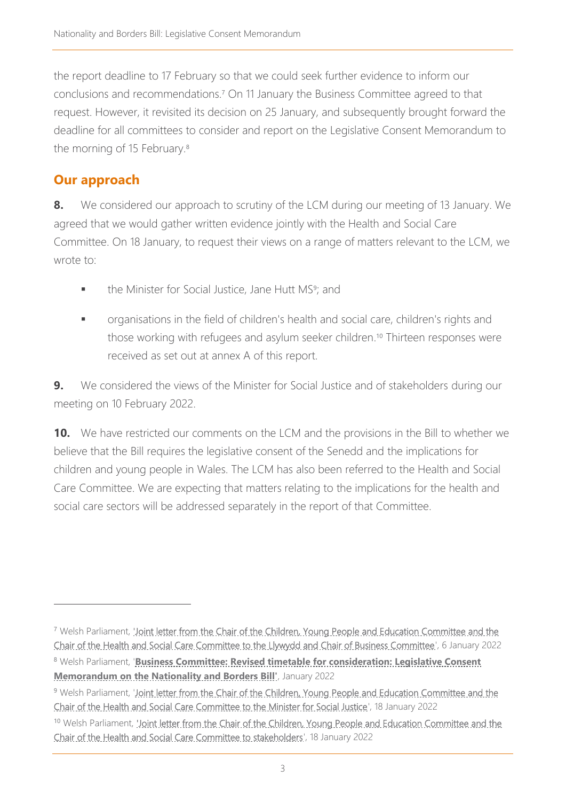the report deadline to 17 February so that we could seek further evidence to inform our conclusions and recommendations.<sup>7</sup> On 11 January the Business Committee agreed to that request. However, it revisited its decision on 25 January, and subsequently brought forward the deadline for all committees to consider and report on the Legislative Consent Memorandum to the morning of 15 February.<sup>8</sup>

# **Our approach**

**8.** We considered our approach to scrutiny of the LCM during our meeting of 13 January. We agreed that we would gather written evidence jointly with the Health and Social Care Committee. On 18 January, to request their views on a range of matters relevant to the LCM, we wrote to:

- **•** the Minister for Social Justice, Jane Hutt MS<sup>9</sup>; and
- **■** organisations in the field of children's health and social care, children's rights and those working with refugees and asylum seeker children. <sup>10</sup> Thirteen responses were received as set out at annex A of this report.

**9.** We considered the views of the Minister for Social Justice and of stakeholders during our meeting on 10 February 2022.

**10.** We have restricted our comments on the LCM and the provisions in the Bill to whether we believe that the Bill requires the legislative consent of the Senedd and the implications for children and young people in Wales. The LCM has also been referred to the Health and Social Care Committee. We are expecting that matters relating to the implications for the health and social care sectors will be addressed separately in the report of that Committee.

<sup>7</sup> Welsh Parliament, ['Joint letter from the Chair of the Children, Young People and Education Committee and the](https://business.senedd.wales/documents/s121545/Joint%20letter%20from%20the%20Chair%20of%20the%20Children%20Young%20People%20and%20Education%20Committee%20and%20the%20Chair%20of%20t.pdf)  [Chair of the Health and Social Care Committee to the Llywydd and Chair of Business Committee'](https://business.senedd.wales/documents/s121545/Joint%20letter%20from%20the%20Chair%20of%20the%20Children%20Young%20People%20and%20Education%20Committee%20and%20the%20Chair%20of%20t.pdf), 6 January 2022

<sup>8</sup> Welsh Parliament, '**[Business Committee: Revised timetable for consideration: Legislative Consent](https://senedd.wales/media/mqhduw0g/cr-ld14895-e.pdf)  [Memorandum on the Nationality and Borders Bill'](https://senedd.wales/media/mqhduw0g/cr-ld14895-e.pdf)**, January 2022

<sup>&</sup>lt;sup>9</sup> Welsh Parliament, 'Joint letter from the Chair of the Children, Young People and Education Committee and the [Chair of the Health and Social Care Committee to the Minister for Social Justice'](https://business.senedd.wales/documents/s121596/Joint%20letter%20from%20the%20Chair%20of%20the%20Children%20Young%20People%20and%20Education%20Committee%20and%20the%20Chair%20of%20t.pdf), 18 January 2022

<sup>&</sup>lt;sup>10</sup> Welsh Parliament, 'Joint letter from the Chair of the Children, Young People and Education Committee and the [Chair of the Health and Social Care Committee to stakeholders'](https://business.senedd.wales/documents/s121597/Joint%20letter%20from%20the%20Chair%20of%20the%20Children%20Young%20People%20and%20Education%20Committee%20and%20the%20Chair%20of%20t.pdf), 18 January 2022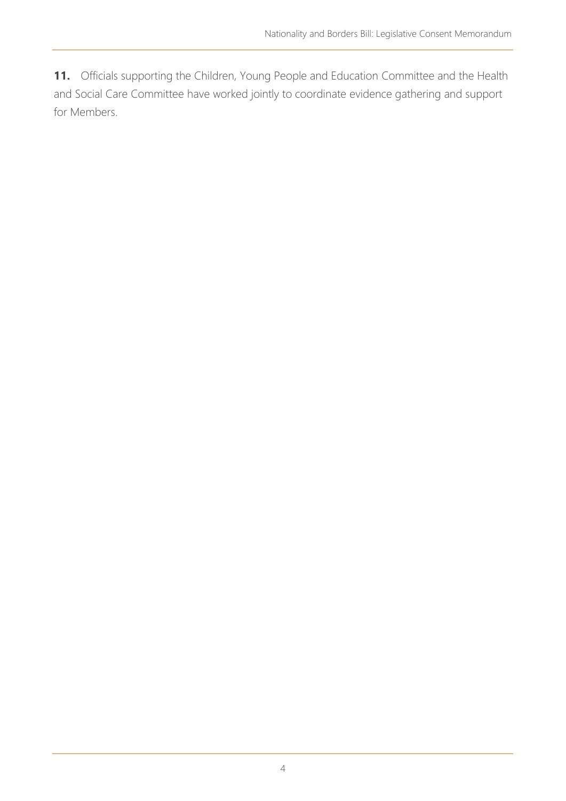11. Officials supporting the Children, Young People and Education Committee and the Health and Social Care Committee have worked jointly to coordinate evidence gathering and support for Members.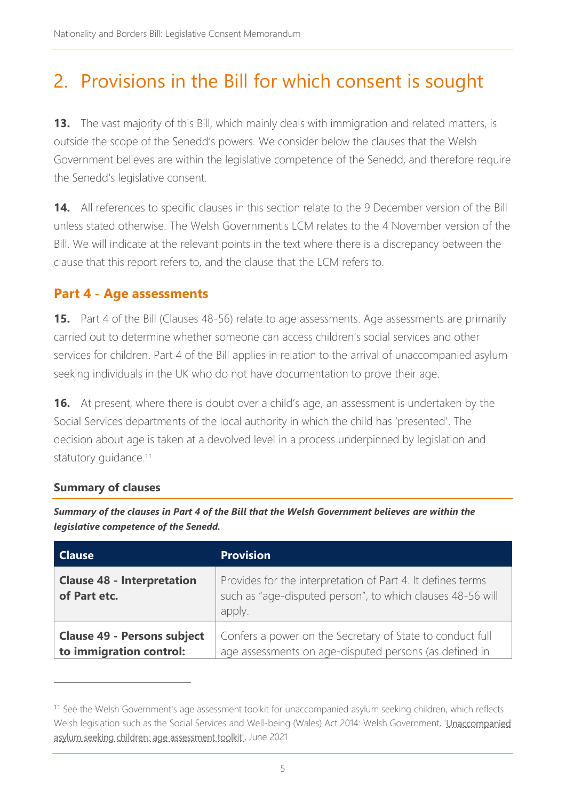# 2. Provisions in the Bill for which consent is sought

**13.** The vast majority of this Bill, which mainly deals with immigration and related matters, is outside the scope of the Senedd's powers. We consider below the clauses that the Welsh Government believes are within the legislative competence of the Senedd, and therefore require the Senedd's legislative consent.

**14.** All references to specific clauses in this section relate to the 9 December version of the Bill unless stated otherwise. The Welsh Government's LCM relates to the 4 November version of the Bill. We will indicate at the relevant points in the text where there is a discrepancy between the clause that this report refers to, and the clause that the LCM refers to.

# <span id="page-4-1"></span>**Part 4 - Age assessments**

**15.** Part 4 of the Bill (Clauses 48-56) relate to age assessments. Age assessments are primarily carried out to determine whether someone can access children's social services and other services for children. Part 4 of the Bill applies in relation to the arrival of unaccompanied asylum seeking individuals in the UK who do not have documentation to prove their age.

**16.** At present, where there is doubt over a child's age, an assessment is undertaken by the Social Services departments of the local authority in which the child has 'presented'. The decision about age is taken at a devolved level in a process underpinned by legislation and statutory guidance.<sup>11</sup>

#### <span id="page-4-0"></span>**Summary of clauses**

*Summary of the clauses in Part 4 of the Bill that the Welsh Government believes are within the legislative competence of the Senedd.*

| <b>Clause</b>                                                 | <b>Provision</b>                                                                                                                    |
|---------------------------------------------------------------|-------------------------------------------------------------------------------------------------------------------------------------|
| <b>Clause 48 - Interpretation</b><br>of Part etc.             | Provides for the interpretation of Part 4. It defines terms<br>such as "age-disputed person", to which clauses 48-56 will<br>apply. |
| <b>Clause 49 - Persons subject</b><br>to immigration control: | Confers a power on the Secretary of State to conduct full<br>age assessments on age-disputed persons (as defined in                 |

<sup>&</sup>lt;sup>11</sup> See the Welsh Government's age assessment toolkit for unaccompanied asylum seeking children, which reflects Welsh legislation such as the Social Services and Well-being (Wales) Act 2014: Welsh Government, 'Unaccompanied [asylum seeking children: age assessment toolkit',](https://gov.wales/unaccompanied-asylum-seeking-children-age-assessment-toolkit) June 2021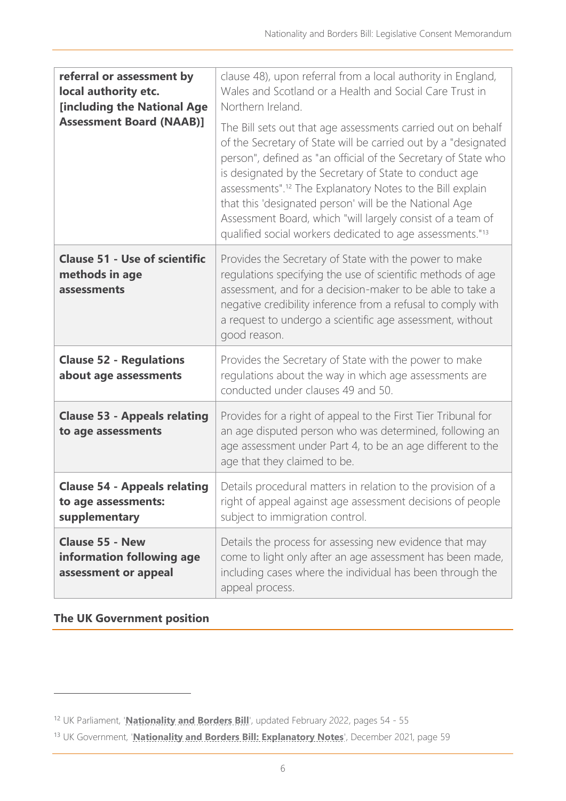| referral or assessment by<br>local authority etc.<br><b>[including the National Age</b><br><b>Assessment Board (NAAB)]</b> | clause 48), upon referral from a local authority in England,<br>Wales and Scotland or a Health and Social Care Trust in<br>Northern Ireland.<br>The Bill sets out that age assessments carried out on behalf<br>of the Secretary of State will be carried out by a "designated                                                                                                         |
|----------------------------------------------------------------------------------------------------------------------------|----------------------------------------------------------------------------------------------------------------------------------------------------------------------------------------------------------------------------------------------------------------------------------------------------------------------------------------------------------------------------------------|
|                                                                                                                            | person", defined as "an official of the Secretary of State who<br>is designated by the Secretary of State to conduct age<br>assessments". <sup>12</sup> The Explanatory Notes to the Bill explain<br>that this 'designated person' will be the National Age<br>Assessment Board, which "will largely consist of a team of<br>qualified social workers dedicated to age assessments."13 |
| <b>Clause 51 - Use of scientific</b><br>methods in age<br>assessments                                                      | Provides the Secretary of State with the power to make<br>regulations specifying the use of scientific methods of age<br>assessment, and for a decision-maker to be able to take a<br>negative credibility inference from a refusal to comply with<br>a request to undergo a scientific age assessment, without<br>good reason.                                                        |
| <b>Clause 52 - Regulations</b><br>about age assessments                                                                    | Provides the Secretary of State with the power to make<br>regulations about the way in which age assessments are<br>conducted under clauses 49 and 50.                                                                                                                                                                                                                                 |
| <b>Clause 53 - Appeals relating</b><br>to age assessments                                                                  | Provides for a right of appeal to the First Tier Tribunal for<br>an age disputed person who was determined, following an<br>age assessment under Part 4, to be an age different to the<br>age that they claimed to be.                                                                                                                                                                 |
| <b>Clause 54 - Appeals relating</b><br>to age assessments:<br>supplementary                                                | Details procedural matters in relation to the provision of a<br>right of appeal against age assessment decisions of people<br>subject to immigration control.                                                                                                                                                                                                                          |
| <b>Clause 55 - New</b><br>information following age<br>assessment or appeal                                                | Details the process for assessing new evidence that may<br>come to light only after an age assessment has been made,<br>including cases where the individual has been through the<br>appeal process.                                                                                                                                                                                   |

#### <span id="page-5-0"></span>**The UK Government position**

<sup>12</sup> UK Parliament, '**[Nationality and Borders Bill](https://bills.parliament.uk/bills/3023)**', updated February 2022, pages 54 - 55

<sup>13</sup> UK Government, '**[Nationality and Borders Bill: Explanatory Notes](https://bills.parliament.uk/publications/44460/documents/1174)**', December 2021, page 59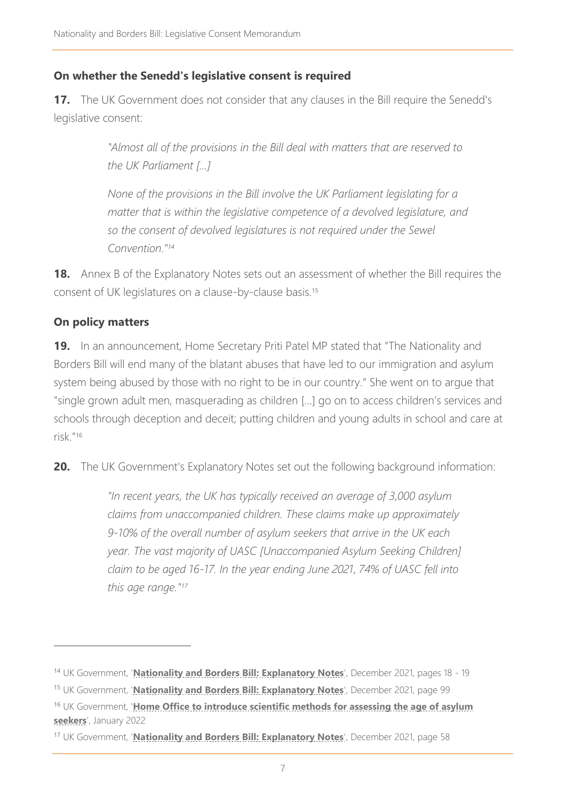### **On whether the Senedd's legislative consent is required**

**17.** The UK Government does not consider that any clauses in the Bill require the Senedd's legislative consent:

> *"Almost all of the provisions in the Bill deal with matters that are reserved to the UK Parliament […]*

*None of the provisions in the Bill involve the UK Parliament legislating for a matter that is within the legislative competence of a devolved legislature, and so the consent of devolved legislatures is not required under the Sewel Convention." 14*

**18.** Annex B of the Explanatory Notes sets out an assessment of whether the Bill requires the consent of UK legislatures on a clause-by-clause basis.<sup>15</sup>

#### **On policy matters**

**19.** In an announcement, Home Secretary Priti Patel MP stated that "The Nationality and Borders Bill will end many of the blatant abuses that have led to our immigration and asylum system being abused by those with no right to be in our country." She went on to argue that "single grown adult men, masquerading as children […] go on to access children's services and schools through deception and deceit; putting children and young adults in school and care at risk." 16

**20.** The UK Government's Explanatory Notes set out the following background information:

*"In recent years, the UK has typically received an average of 3,000 asylum claims from unaccompanied children. These claims make up approximately 9-10% of the overall number of asylum seekers that arrive in the UK each year. The vast majority of UASC [Unaccompanied Asylum Seeking Children] claim to be aged 16-17. In the year ending June 2021, 74% of UASC fell into this age range." 17*

<sup>&</sup>lt;sup>14</sup> UK Government, '**Nationality and Borders Bill: Explanatory Notes'**, December 2021, pages 18 - 19

<sup>15</sup> UK Government, '**[Nationality and Borders Bill: Explanatory Notes](https://bills.parliament.uk/publications/44460/documents/1174)**', December 2021, page 99

<sup>16</sup> UK Government, '**[Home Office to introduce scientific methods for assessing the age of asylum](https://www.gov.uk/government/news/home-office-to-introduce-scientific-methods-for-assessing-the-age-of-asylum-seekers)  [seekers](https://www.gov.uk/government/news/home-office-to-introduce-scientific-methods-for-assessing-the-age-of-asylum-seekers)**', January 2022

<sup>17</sup> UK Government, '**[Nationality and Borders Bill: Explanatory Notes](https://bills.parliament.uk/publications/44460/documents/1174)**', December 2021, page 58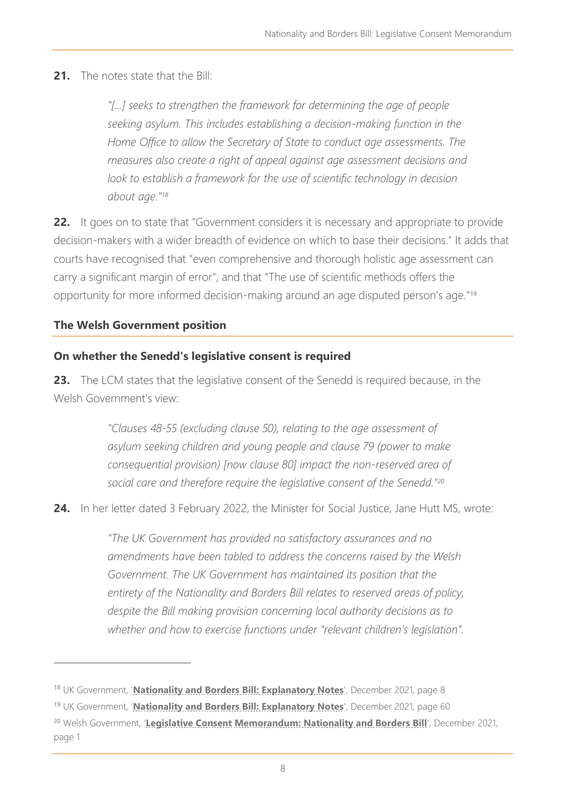# **21.** The notes state that the Bill:

*"[…] seeks to strengthen the framework for determining the age of people seeking asylum. This includes establishing a decision-making function in the Home Office to allow the Secretary of State to conduct age assessments. The measures also create a right of appeal against age assessment decisions and*  look to establish a framework for the use of scientific technology in decision *about age." 18*

**22.** It goes on to state that "Government considers it is necessary and appropriate to provide decision-makers with a wider breadth of evidence on which to base their decisions." It adds that courts have recognised that "even comprehensive and thorough holistic age assessment can carry a significant margin of error", and that "The use of scientific methods offers the opportunity for more informed decision-making around an age disputed person's age."<sup>19</sup>

# **The Welsh Government position**

#### **On whether the Senedd's legislative consent is required**

**23.** The LCM states that the legislative consent of the Senedd is required because, in the Welsh Government's view:

> *"Clauses 48-55 (excluding clause 50), relating to the age assessment of asylum seeking children and young people and clause 79 (power to make consequential provision) [now clause 80] impact the non-reserved area of social care and therefore require the legislative consent of the Senedd."<sup>20</sup>*

**24.** In her letter dated 3 February 2022, the Minister for Social Justice, Jane Hutt MS, wrote:

*"The UK Government has provided no satisfactory assurances and no amendments have been tabled to address the concerns raised by the Welsh Government. The UK Government has maintained its position that the entirety of the Nationality and Borders Bill relates to reserved areas of policy, despite the Bill making provision concerning local authority decisions as to whether and how to exercise functions under "relevant children's legislation".*

<sup>18</sup> UK Government, '**[Nationality and Borders Bill: Explanatory Notes](https://bills.parliament.uk/publications/44460/documents/1174)**', December 2021, page 8

<sup>19</sup> UK Government, '**[Nationality and Borders Bill: Explanatory Notes](https://bills.parliament.uk/publications/44460/documents/1174)**', December 2021, page 60

<sup>&</sup>lt;sup>20</sup> Welsh Government, '[Legislative Consent Memorandum: Nationality and Borders Bill](https://senedd.wales/media/pbvlwjy5/lcm-ld14719-e.pdf)', December 2021, page 1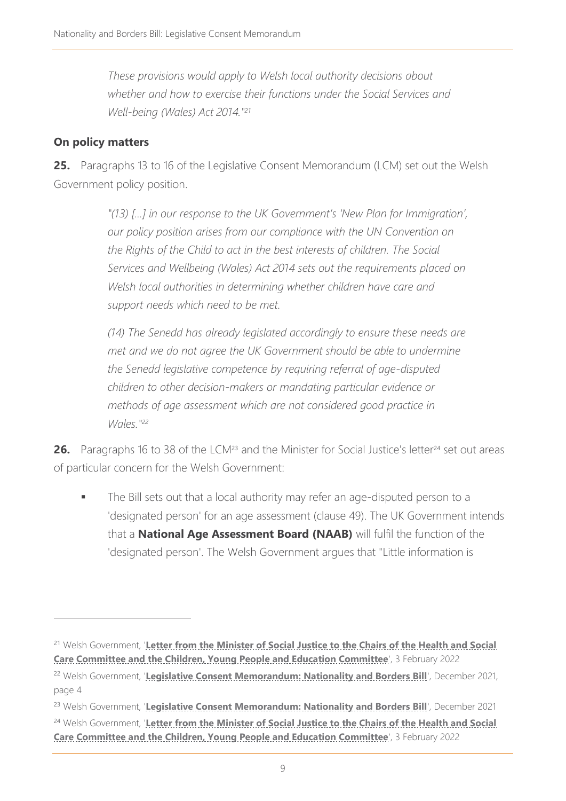*These provisions would apply to Welsh local authority decisions about whether and how to exercise their functions under the Social Services and Well-being (Wales) Act 2014." 21*

# **On policy matters**

**25.** Paragraphs 13 to 16 of the Legislative Consent Memorandum (LCM) set out the Welsh Government policy position.

> *"(13) […] in our response to the UK Government's 'New Plan for Immigration', our policy position arises from our compliance with the UN Convention on the Rights of the Child to act in the best interests of children. The Social Services and Wellbeing (Wales) Act 2014 sets out the requirements placed on Welsh local authorities in determining whether children have care and support needs which need to be met.*

> *(14) The Senedd has already legislated accordingly to ensure these needs are met and we do not agree the UK Government should be able to undermine the Senedd legislative competence by requiring referral of age-disputed children to other decision-makers or mandating particular evidence or methods of age assessment which are not considered good practice in Wales." 22*

**26.** Paragraphs 16 to 38 of the LCM<sup>23</sup> and the Minister for Social Justice's letter<sup>24</sup> set out areas of particular concern for the Welsh Government:

The Bill sets out that a local authority may refer an age-disputed person to a 'designated person' for an age assessment (clause 49). The UK Government intends that a **National Age Assessment Board (NAAB)** will fulfil the function of the 'designated person'. The Welsh Government argues that "Little information is

<sup>21</sup> Welsh Government, '**[Letter from the Minister of Social Justice to the Chairs of the Health and Social](https://business.senedd.wales/documents/s122476/Letter%20from%20the%20Minister%20for%20Social%20Justice%20-%20CYPE6-04-22%20-%20Paper%20to%20note%2024.pdf)  [Care Committee and the Children, Young People and Education Committee](https://business.senedd.wales/documents/s122476/Letter%20from%20the%20Minister%20for%20Social%20Justice%20-%20CYPE6-04-22%20-%20Paper%20to%20note%2024.pdf)**', 3 February 2022

<sup>&</sup>lt;sup>22</sup> Welsh Government, '[Legislative Consent Memorandum: Nationality and Borders Bill](https://senedd.wales/media/pbvlwjy5/lcm-ld14719-e.pdf)', December 2021, page 4

<sup>&</sup>lt;sup>23</sup> Welsh Government, '[Legislative Consent Memorandum: Nationality and Borders Bill](https://senedd.wales/media/pbvlwjy5/lcm-ld14719-e.pdf)', December 2021 <sup>24</sup> Welsh Government, '**[Letter from the Minister of Social Justice to the Chairs of the Health and Social](https://business.senedd.wales/documents/s122476/Letter%20from%20the%20Minister%20for%20Social%20Justice%20-%20CYPE6-04-22%20-%20Paper%20to%20note%2024.pdf)  [Care Committee and the Children, Young People and Education Committee](https://business.senedd.wales/documents/s122476/Letter%20from%20the%20Minister%20for%20Social%20Justice%20-%20CYPE6-04-22%20-%20Paper%20to%20note%2024.pdf)', 3 February 2022**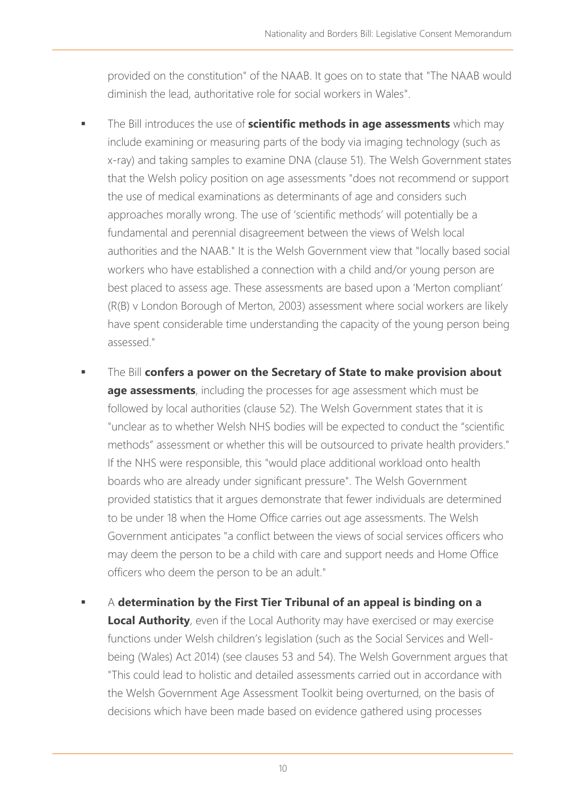provided on the constitution" of the NAAB. It goes on to state that "The NAAB would diminish the lead, authoritative role for social workers in Wales".

- The Bill introduces the use of **scientific methods in age assessments** which may include examining or measuring parts of the body via imaging technology (such as x-ray) and taking samples to examine DNA (clause 51). The Welsh Government states that the Welsh policy position on age assessments "does not recommend or support the use of medical examinations as determinants of age and considers such approaches morally wrong. The use of 'scientific methods' will potentially be a fundamental and perennial disagreement between the views of Welsh local authorities and the NAAB." It is the Welsh Government view that "locally based social workers who have established a connection with a child and/or young person are best placed to assess age. These assessments are based upon a 'Merton compliant' (R(B) v London Borough of Merton, 2003) assessment where social workers are likely have spent considerable time understanding the capacity of the young person being assessed."
- The Bill **confers a power on the Secretary of State to make provision about age assessments**, including the processes for age assessment which must be followed by local authorities (clause 52). The Welsh Government states that it is "unclear as to whether Welsh NHS bodies will be expected to conduct the "scientific methods" assessment or whether this will be outsourced to private health providers." If the NHS were responsible, this "would place additional workload onto health boards who are already under significant pressure". The Welsh Government provided statistics that it argues demonstrate that fewer individuals are determined to be under 18 when the Home Office carries out age assessments. The Welsh Government anticipates "a conflict between the views of social services officers who may deem the person to be a child with care and support needs and Home Office officers who deem the person to be an adult."
- A **determination by the First Tier Tribunal of an appeal is binding on a Local Authority**, even if the Local Authority may have exercised or may exercise functions under Welsh children's legislation (such as the Social Services and Wellbeing (Wales) Act 2014) (see clauses 53 and 54). The Welsh Government argues that "This could lead to holistic and detailed assessments carried out in accordance with the Welsh Government Age Assessment Toolkit being overturned, on the basis of decisions which have been made based on evidence gathered using processes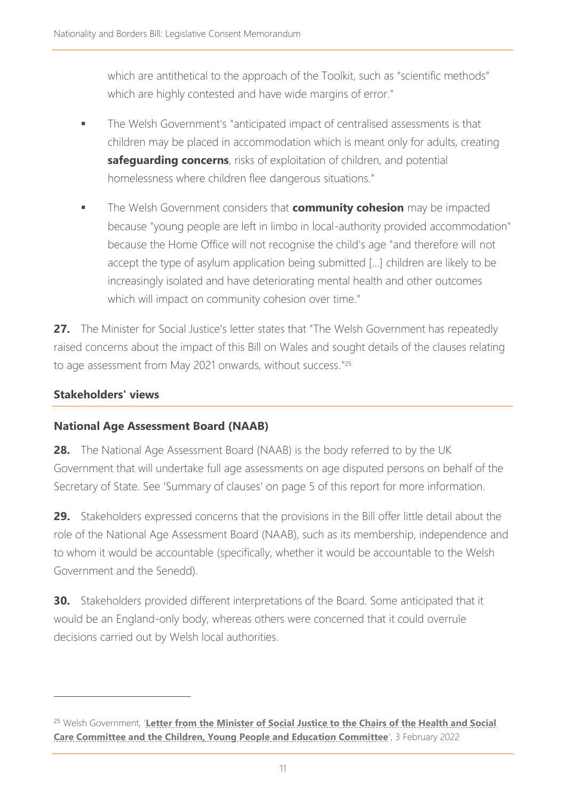which are antithetical to the approach of the Toolkit, such as "scientific methods" which are highly contested and have wide margins of error."

- **■** The Welsh Government's "anticipated impact of centralised assessments is that children may be placed in accommodation which is meant only for adults, creating **safeguarding concerns**, risks of exploitation of children, and potential homelessness where children flee dangerous situations."
- The Welsh Government considers that **community cohesion** may be impacted because "young people are left in limbo in local-authority provided accommodation" because the Home Office will not recognise the child's age "and therefore will not accept the type of asylum application being submitted […] children are likely to be increasingly isolated and have deteriorating mental health and other outcomes which will impact on community cohesion over time."

27. The Minister for Social Justice's letter states that "The Welsh Government has repeatedly raised concerns about the impact of this Bill on Wales and sought details of the clauses relating to age assessment from May 2021 onwards, without success."<sup>25</sup>

# **Stakeholders' views**

# **National Age Assessment Board (NAAB)**

**28.** The National Age Assessment Board (NAAB) is the body referred to by the UK Government that will undertake full age assessments on age disputed persons on behalf of the Secretary of State. See ['Summary of clauses'](#page-4-0) on page [5](#page-4-0) of this report for more information.

**29.** Stakeholders expressed concerns that the provisions in the Bill offer little detail about the role of the National Age Assessment Board (NAAB), such as its membership, independence and to whom it would be accountable (specifically, whether it would be accountable to the Welsh Government and the Senedd).

**30.** Stakeholders provided different interpretations of the Board. Some anticipated that it would be an England-only body, whereas others were concerned that it could overrule decisions carried out by Welsh local authorities.

<sup>&</sup>lt;sup>25</sup> Welsh Government, 'Letter from the Minister of Social Justice to the Chairs of the Health and Social **[Care Committee and the Children, Young People and Education Committee](https://business.senedd.wales/documents/s122476/Letter%20from%20the%20Minister%20for%20Social%20Justice%20-%20CYPE6-04-22%20-%20Paper%20to%20note%2024.pdf)', 3 February 2022**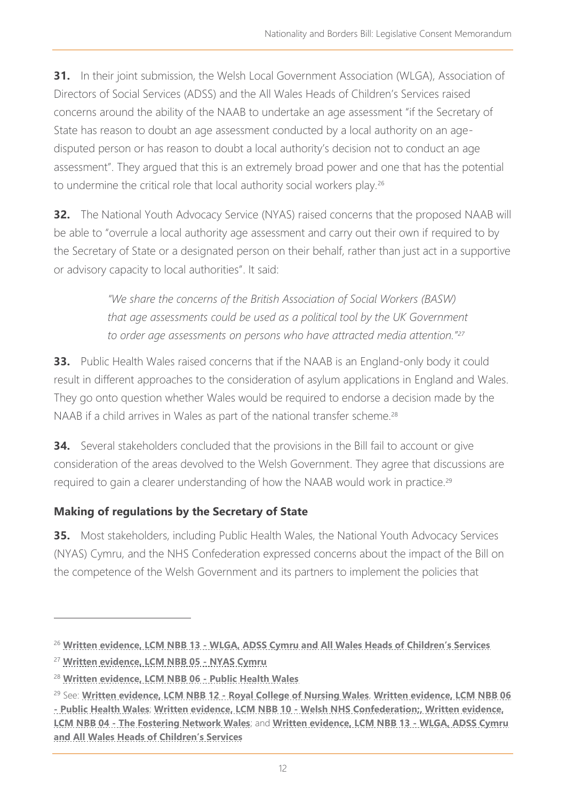**31.** In their joint submission, the Welsh Local Government Association (WLGA), Association of Directors of Social Services (ADSS) and the All Wales Heads of Children's Services raised concerns around the ability of the NAAB to undertake an age assessment "if the Secretary of State has reason to doubt an age assessment conducted by a local authority on an agedisputed person or has reason to doubt a local authority's decision not to conduct an age assessment". They argued that this is an extremely broad power and one that has the potential to undermine the critical role that local authority social workers play.<sup>26</sup>

**32.** The National Youth Advocacy Service (NYAS) raised concerns that the proposed NAAB will be able to "overrule a local authority age assessment and carry out their own if required to by the Secretary of State or a designated person on their behalf, rather than just act in a supportive or advisory capacity to local authorities". It said:

> *"We share the concerns of the British Association of Social Workers (BASW) that age assessments could be used as a political tool by the UK Government to order age assessments on persons who have attracted media attention."<sup>27</sup>*

**33.** Public Health Wales raised concerns that if the NAAB is an England-only body it could result in different approaches to the consideration of asylum applications in England and Wales. They go onto question whether Wales would be required to endorse a decision made by the NAAB if a child arrives in Wales as part of the national transfer scheme.<sup>28</sup>

**34.** Several stakeholders concluded that the provisions in the Bill fail to account or give consideration of the areas devolved to the Welsh Government. They agree that discussions are required to gain a clearer understanding of how the NAAB would work in practice.<sup>29</sup>

# **Making of regulations by the Secretary of State**

**35.** Most stakeholders, including Public Health Wales, the National Youth Advocacy Services (NYAS) Cymru, and the NHS Confederation expressed concerns about the impact of the Bill on the competence of the Welsh Government and its partners to implement the policies that

<sup>26</sup> **Written evidence, LCM NBB 13 - [WLGA, ADSS Cymru and All Wales Heads of Children's Services](https://business.senedd.wales/documents/s122306/LCM%20NBB%2013%20-%20WLGA%20ADSS%20Cymru%20and%20All%20Wales%20Heads%20of%20Childrens%20Services.pdf)**

<sup>27</sup> **[Written evidence, LCM NBB 05](https://business.senedd.wales/documents/s122298/LCM%20NBB%2005%20-%20NYAS%20Cymru.pdf) - NYAS Cymru**

<sup>28</sup> **[Written evidence, LCM NBB](https://business.senedd.wales/documents/s122299/LCM%20NBB%2006%20-%20Public%20Health%20Wales.pdf) 06 - Public Health Wales**

<sup>29</sup> See: **[Written evidence, LCM NBB 12 -](https://business.senedd.wales/documents/s122305/LCM%20NBB%2012%20-%20Royal%20College%20of%20Nursing%20Wales.pdf) Royal College of Nursing Wales**, **[Written evidence, LCM NBB 06](https://business.senedd.wales/documents/s122299/LCM%20NBB%2006%20-%20Public%20Health%20Wales.pdf)  - [Public Health Wales](https://business.senedd.wales/documents/s122299/LCM%20NBB%2006%20-%20Public%20Health%20Wales.pdf)**; **[Written evidence, LCM NBB 10 -](https://business.senedd.wales/documents/s122303/LCM%20NBB%2010%20-%20Welsh%20NHS%20Confederation.pdf) Welsh NHS Confederation;, [Written evidence,](https://business.senedd.wales/documents/s122297/LCM%20NBB%2004%20-%20Fostering%20Network%20Wales.pdf)  LCM NBB 04 - [The Fostering Network Wales](https://business.senedd.wales/documents/s122297/LCM%20NBB%2004%20-%20Fostering%20Network%20Wales.pdf)**; and **[Written evidence, LCM NBB 13 -](https://business.senedd.wales/documents/s122306/LCM%20NBB%2013%20-%20WLGA%20ADSS%20Cymru%20and%20All%20Wales%20Heads%20of%20Childrens%20Services.pdf) WLGA, ADSS Cymru [and All Wales Heads of Children's Services](https://business.senedd.wales/documents/s122306/LCM%20NBB%2013%20-%20WLGA%20ADSS%20Cymru%20and%20All%20Wales%20Heads%20of%20Childrens%20Services.pdf)**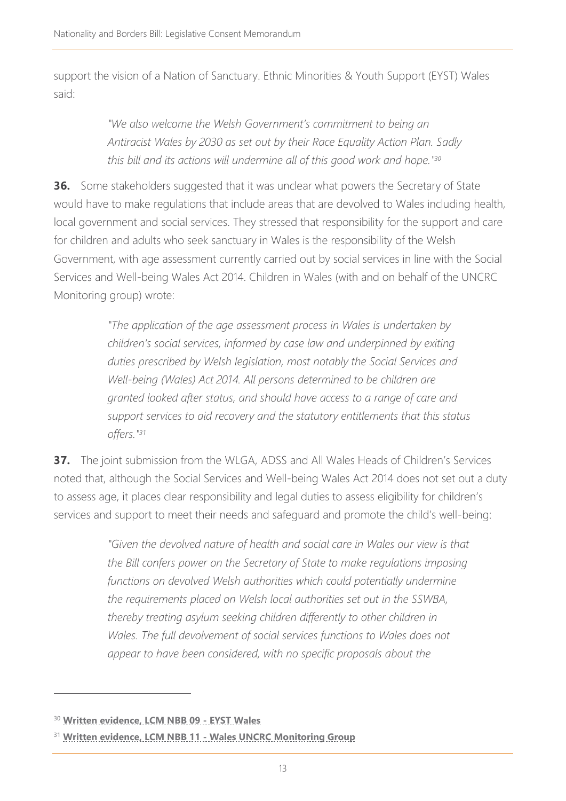support the vision of a Nation of Sanctuary. Ethnic Minorities & Youth Support (EYST) Wales said:

> *"We also welcome the Welsh Government's commitment to being an Antiracist Wales by 2030 as set out by their Race Equality Action Plan. Sadly this bill and its actions will undermine all of this good work and hope." 30*

**36.** Some stakeholders suggested that it was unclear what powers the Secretary of State would have to make regulations that include areas that are devolved to Wales including health, local government and social services. They stressed that responsibility for the support and care for children and adults who seek sanctuary in Wales is the responsibility of the Welsh Government, with age assessment currently carried out by social services in line with the Social Services and Well-being Wales Act 2014. Children in Wales (with and on behalf of the UNCRC Monitoring group) wrote:

> *"The application of the age assessment process in Wales is undertaken by children's social services, informed by case law and underpinned by exiting duties prescribed by Welsh legislation, most notably the Social Services and Well-being (Wales) Act 2014. All persons determined to be children are granted looked after status, and should have access to a range of care and support services to aid recovery and the statutory entitlements that this status offers." 31*

**37.** The joint submission from the WLGA, ADSS and All Wales Heads of Children's Services noted that, although the Social Services and Well-being Wales Act 2014 does not set out a duty to assess age, it places clear responsibility and legal duties to assess eligibility for children's services and support to meet their needs and safeguard and promote the child's well-being:

> *"Given the devolved nature of health and social care in Wales our view is that the Bill confers power on the Secretary of State to make regulations imposing functions on devolved Welsh authorities which could potentially undermine the requirements placed on Welsh local authorities set out in the SSWBA, thereby treating asylum seeking children differently to other children in*  Wales. The full devolvement of social services functions to Wales does not *appear to have been considered, with no specific proposals about the*

<sup>30</sup> **[Written evidence, LCM NBB 09 -](https://business.senedd.wales/documents/s122302/LCM%20NBB%2009%20-%20EYST%20Wales.pdf) EYST Wales**

<sup>31</sup> **Written evidence, LCM NBB 11 - [Wales UNCRC Monitoring Group](https://business.senedd.wales/documents/s122304/LCM%20NBB%2011%20-%20UNCRC%20Monitoring%20Group.pdf)**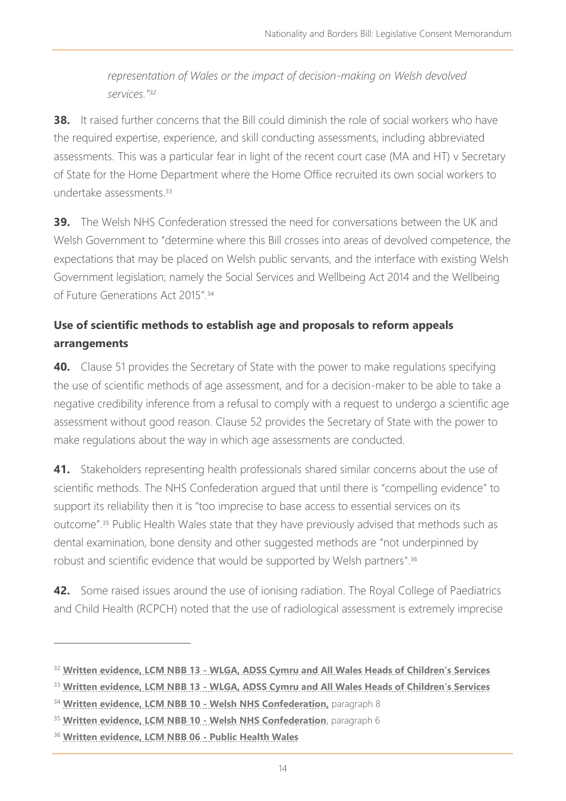*representation of Wales or the impact of decision-making on Welsh devolved services." 32*

**38.** It raised further concerns that the Bill could diminish the role of social workers who have the required expertise, experience, and skill conducting assessments, including abbreviated assessments. This was a particular fear in light of the recent court case (MA and HT) v Secretary of State for the Home Department where the Home Office recruited its own social workers to undertake assessments<sup>33</sup>

**39.** The Welsh NHS Confederation stressed the need for conversations between the UK and Welsh Government to "determine where this Bill crosses into areas of devolved competence, the expectations that may be placed on Welsh public servants, and the interface with existing Welsh Government legislation; namely the Social Services and Wellbeing Act 2014 and the Wellbeing of Future Generations Act 2015".<sup>34</sup>

# **Use of scientific methods to establish age and proposals to reform appeals arrangements**

**40.** Clause 51 provides the Secretary of State with the power to make regulations specifying the use of scientific methods of age assessment, and for a decision-maker to be able to take a negative credibility inference from a refusal to comply with a request to undergo a scientific age assessment without good reason. Clause 52 provides the Secretary of State with the power to make regulations about the way in which age assessments are conducted.

**41.** Stakeholders representing health professionals shared similar concerns about the use of scientific methods. The NHS Confederation argued that until there is "compelling evidence" to support its reliability then it is "too imprecise to base access to essential services on its outcome".<sup>35</sup> Public Health Wales state that they have previously advised that methods such as dental examination, bone density and other suggested methods are "not underpinned by robust and scientific evidence that would be supported by Welsh partners".<sup>36</sup>

**42.** Some raised issues around the use of ionising radiation. The Royal College of Paediatrics and Child Health (RCPCH) noted that the use of radiological assessment is extremely imprecise

<sup>32</sup> **Written evidence, LCM NBB 13 - [WLGA, ADSS Cymru and All Wales Heads of Children's Services](https://business.senedd.wales/documents/s122306/LCM%20NBB%2013%20-%20WLGA%20ADSS%20Cymru%20and%20All%20Wales%20Heads%20of%20Childrens%20Services.pdf)**

<sup>33</sup> **Written evidence, LCM NBB 13 - [WLGA, ADSS Cymru and All Wales Heads of Children's Services](https://business.senedd.wales/documents/s122306/LCM%20NBB%2013%20-%20WLGA%20ADSS%20Cymru%20and%20All%20Wales%20Heads%20of%20Childrens%20Services.pdf)**

<sup>34</sup> **[Written evidence, LCM NBB 10 -](https://business.senedd.wales/documents/s122303/LCM%20NBB%2010%20-%20Welsh%20NHS%20Confederation.pdf) Welsh NHS Confederation,** paragraph 8

<sup>35</sup> **[Written evidence, LCM NBB 10 -](https://business.senedd.wales/documents/s122303/LCM%20NBB%2010%20-%20Welsh%20NHS%20Confederation.pdf) Welsh NHS Confederation**, paragraph 6

<sup>36</sup> **[Written evidence, LCM NBB](https://business.senedd.wales/documents/s122299/LCM%20NBB%2006%20-%20Public%20Health%20Wales.pdf) 06 - Public Health Wales**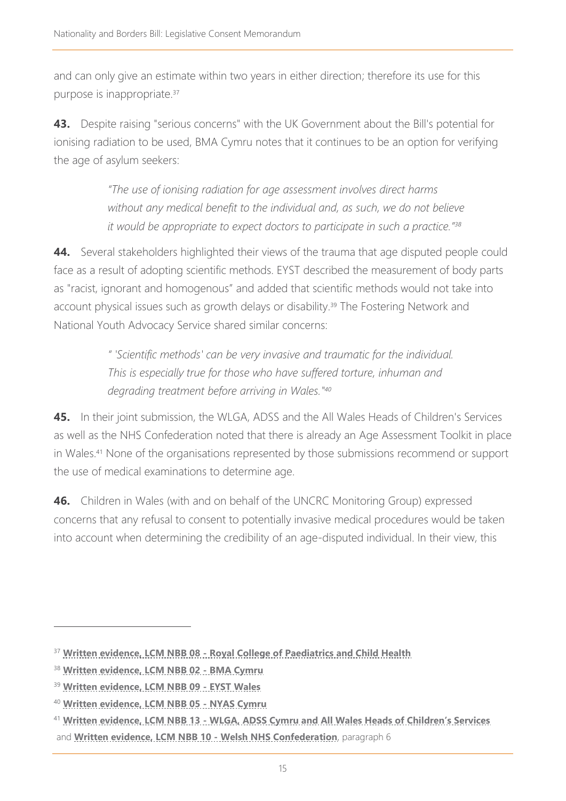and can only give an estimate within two years in either direction; therefore its use for this purpose is inappropriate.<sup>37</sup>

**43.** Despite raising "serious concerns" with the UK Government about the Bill's potential for ionising radiation to be used, BMA Cymru notes that it continues to be an option for verifying the age of asylum seekers:

> *"The use of ionising radiation for age assessment involves direct harms without any medical benefit to the individual and, as such, we do not believe it would be appropriate to expect doctors to participate in such a practice."<sup>38</sup>*

**44.** Several stakeholders highlighted their views of the trauma that age disputed people could face as a result of adopting scientific methods. EYST described the measurement of body parts as "racist, ignorant and homogenous" and added that scientific methods would not take into account physical issues such as growth delays or disability.<sup>39</sup> The Fostering Network and National Youth Advocacy Service shared similar concerns:

> *" 'Scientific methods' can be very invasive and traumatic for the individual. This is especially true for those who have suffered torture, inhuman and degrading treatment before arriving in Wales." 40*

**45.** In their joint submission, the WLGA, ADSS and the All Wales Heads of Children's Services as well as the NHS Confederation noted that there is already an Age Assessment Toolkit in place in Wales. <sup>41</sup> None of the organisations represented by those submissions recommend or support the use of medical examinations to determine age.

**46.** Children in Wales (with and on behalf of the UNCRC Monitoring Group) expressed concerns that any refusal to consent to potentially invasive medical procedures would be taken into account when determining the credibility of an age-disputed individual. In their view, this

<sup>37</sup> **Written evidence, LCM NBB 08 - [Royal College of Paediatrics and Child Health](https://business.senedd.wales/documents/s122301/LCM%20NBB%2008%20-%20Royal%20College%20of%20Paediatrics%20and%20Child%20Health.pdf)**

<sup>38</sup> **[Written evidence, LCM NBB 02 -](https://business.senedd.wales/documents/s122295/LCM%20NBB%2002%20-%20BMA%20Cymru.pdf) BMA Cymru**

<sup>39</sup> **[Written evidence, LCM NBB 09 -](https://business.senedd.wales/documents/s122302/LCM%20NBB%2009%20-%20EYST%20Wales.pdf) EYST Wales**

<sup>40</sup> **[Written evidence, LCM NBB 05](https://business.senedd.wales/documents/s122298/LCM%20NBB%2005%20-%20NYAS%20Cymru.pdf) - NYAS Cymru**

<sup>41</sup> **Written evidence, LCM NBB 13 - [WLGA, ADSS Cymru and All Wales Heads of Children's Services](https://business.senedd.wales/documents/s122306/LCM%20NBB%2013%20-%20WLGA%20ADSS%20Cymru%20and%20All%20Wales%20Heads%20of%20Childrens%20Services.pdf)** and **[Written evidence, LCM NBB 10 -](https://business.senedd.wales/documents/s122303/LCM%20NBB%2010%20-%20Welsh%20NHS%20Confederation.pdf) Welsh NHS Confederation**, paragraph 6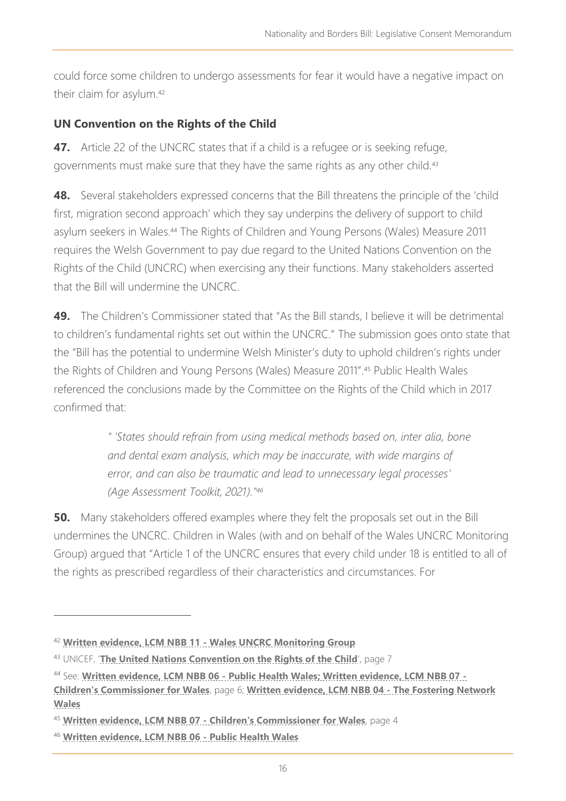could force some children to undergo assessments for fear it would have a negative impact on their claim for asylum.<sup>42</sup>

# **UN Convention on the Rights of the Child**

**47.** Article 22 of the UNCRC states that if a child is a refugee or is seeking refuge, governments must make sure that they have the same rights as any other child.<sup>43</sup>

**48.** Several stakeholders expressed concerns that the Bill threatens the principle of the 'child first, migration second approach' which they say underpins the delivery of support to child asylum seekers in Wales.<sup>44</sup> The Rights of Children and Young Persons (Wales) Measure 2011 requires the Welsh Government to pay due regard to the United Nations Convention on the Rights of the Child (UNCRC) when exercising any their functions. Many stakeholders asserted that the Bill will undermine the UNCRC.

**49.** The Children's Commissioner stated that "As the Bill stands, I believe it will be detrimental to children's fundamental rights set out within the UNCRC." The submission goes onto state that the "Bill has the potential to undermine Welsh Minister's duty to uphold children's rights under the Rights of Children and Young Persons (Wales) Measure 2011".<sup>45</sup> Public Health Wales referenced the conclusions made by the Committee on the Rights of the Child which in 2017 confirmed that:

> *" 'States should refrain from using medical methods based on, inter alia, bone and dental exam analysis, which may be inaccurate, with wide margins of error, and can also be traumatic and lead to unnecessary legal processes' (Age Assessment Toolkit, 2021)." 46*

**50.** Many stakeholders offered examples where they felt the proposals set out in the Bill undermines the UNCRC. Children in Wales (with and on behalf of the Wales UNCRC Monitoring Group) argued that "Article 1 of the UNCRC ensures that every child under 18 is entitled to all of the rights as prescribed regardless of their characteristics and circumstances. For

<sup>42</sup> **Written evidence, LCM NBB 11 - [Wales UNCRC Monitoring Group](https://business.senedd.wales/documents/s122304/LCM%20NBB%2011%20-%20UNCRC%20Monitoring%20Group.pdf)**

<sup>43</sup> UNICEF, '**[The United Nations Convention on the Rights of the Child](https://downloads.unicef.org.uk/wp-content/uploads/2010/05/UNCRC_PRESS200910web.pdf?_adal_sd=www.unicef.org.uk.1644236088489&_adal_ca=so%3DGoogle%26me%3Dorganic%26ca%3D(not%2520set)%26co%3D(not%2520set)%26ke%3D(not%2520set).1644236088489&_adal_cw=1644236083320.1644236088489&_adal_id=cb675080-bb92-4cfa-96e6-cafa1baf041b.1636127420.5.1644236083.1641399310.fbbaa820-52ec-4d66-ab82-263f6235f01f.1644236088489&_ga=2.208886294.52995399.1644236083-832936554.1636127420)**', page 7

<sup>44</sup> See: **[Written evidence, LCM NBB 06 -](https://business.senedd.wales/documents/s122299/LCM%20NBB%2006%20-%20Public%20Health%20Wales.pdf) Public Health Wales; [Written evidence, LCM NBB 07 -](https://business.senedd.wales/documents/s122300/LCM%20NBB%2007%20-%20Childrens%20Commissioner%20for%20Wales.pdf) [Children's Commissioner for Wales](https://business.senedd.wales/documents/s122300/LCM%20NBB%2007%20-%20Childrens%20Commissioner%20for%20Wales.pdf)**, page 6; **[Written evidence, LCM NBB 04 -](https://business.senedd.wales/documents/s122297/LCM%20NBB%2004%20-%20Fostering%20Network%20Wales.pdf) The Fostering Network [Wales](https://business.senedd.wales/documents/s122297/LCM%20NBB%2004%20-%20Fostering%20Network%20Wales.pdf)**

<sup>45</sup> **Written evidence, LCM NBB 07 - [Children's Commissioner for Wales](https://business.senedd.wales/documents/s122300/LCM%20NBB%2007%20-%20Childrens%20Commissioner%20for%20Wales.pdf)**, page 4

<sup>46</sup> **[Written evidence, LCM NBB 06 -](https://business.senedd.wales/documents/s122299/LCM%20NBB%2006%20-%20Public%20Health%20Wales.pdf) Public Health Wales**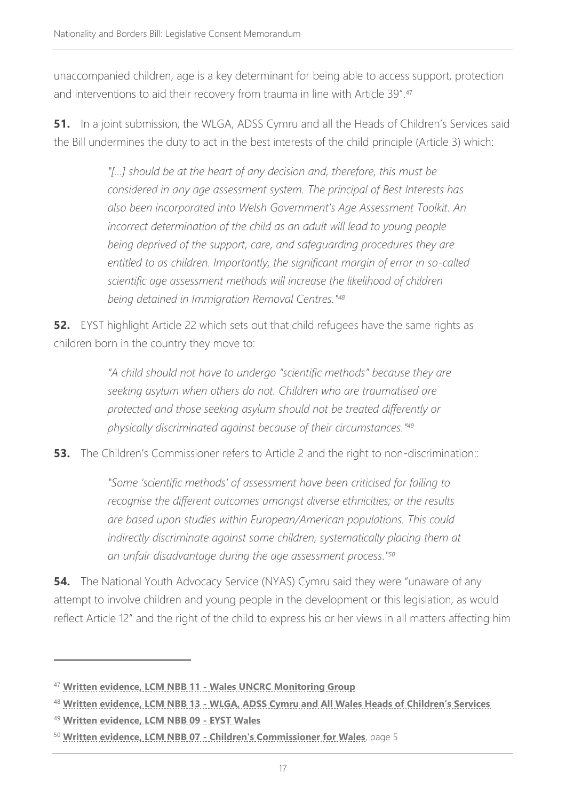unaccompanied children, age is a key determinant for being able to access support, protection and interventions to aid their recovery from trauma in line with Article 39".<sup>47</sup>

**51.** In a joint submission, the WLGA, ADSS Cymru and all the Heads of Children's Services said the Bill undermines the duty to act in the best interests of the child principle (Article 3) which:

> *"[…] should be at the heart of any decision and, therefore, this must be considered in any age assessment system. The principal of Best Interests has also been incorporated into Welsh Government's Age Assessment Toolkit. An incorrect determination of the child as an adult will lead to young people*  being deprived of the support, care, and safeguarding procedures they are *entitled to as children. Importantly, the significant margin of error in so-called scientific age assessment methods will increase the likelihood of children being detained in Immigration Removal Centres." 48*

**52.** EYST highlight Article 22 which sets out that child refugees have the same rights as children born in the country they move to:

> *"A child should not have to undergo "scientific methods" because they are seeking asylum when others do not. Children who are traumatised are protected and those seeking asylum should not be treated differently or physically discriminated against because of their circumstances." 49*

**53.** The Children's Commissioner refers to Article 2 and the right to non-discrimination::

*"Some 'scientific methods' of assessment have been criticised for failing to recognise the different outcomes amongst diverse ethnicities; or the results are based upon studies within European/American populations. This could indirectly discriminate against some children, systematically placing them at an unfair disadvantage during the age assessment process." 50*

**54.** The National Youth Advocacy Service (NYAS) Cymru said they were "unaware of any attempt to involve children and young people in the development or this legislation, as would reflect Article 12" and the right of the child to express his or her views in all matters affecting him

<sup>47</sup> **Written evidence, LCM NBB 11 - [Wales UNCRC Monitoring Group](https://business.senedd.wales/documents/s122304/LCM%20NBB%2011%20-%20UNCRC%20Monitoring%20Group.pdf)**

<sup>48</sup> **Written evidence, LCM NBB 13 - [WLGA, ADSS Cymru and All Wales Heads of Children's Services](https://business.senedd.wales/documents/s122306/LCM%20NBB%2013%20-%20WLGA%20ADSS%20Cymru%20and%20All%20Wales%20Heads%20of%20Childrens%20Services.pdf)**

<sup>49</sup> **[Written evidence, LCM NBB 09 -](https://business.senedd.wales/documents/s122302/LCM%20NBB%2009%20-%20EYST%20Wales.pdf) EYST Wales**

<sup>50</sup> **Written evidence, LCM NBB 07 - [Children's Commissioner for Wales](https://business.senedd.wales/documents/s122300/LCM%20NBB%2007%20-%20Childrens%20Commissioner%20for%20Wales.pdf)**, page 5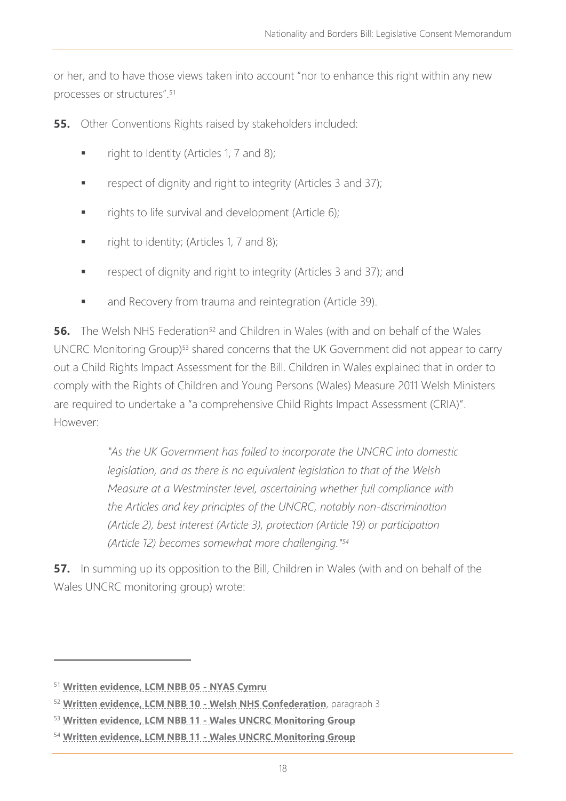or her, and to have those views taken into account "nor to enhance this right within any new processes or structures".<sup>51</sup>

**55.** Other Conventions Rights raised by stakeholders included:

- right to Identity (Articles 1, 7 and 8);
- respect of dignity and right to integrity (Articles 3 and 37);
- rights to life survival and development (Article 6);
- right to identity; (Articles 1, 7 and 8);
- respect of dignity and right to integrity (Articles 3 and 37); and
- and Recovery from trauma and reintegration (Article 39).

**56.** The Welsh NHS Federation<sup>52</sup> and Children in Wales (with and on behalf of the Wales UNCRC Monitoring Group) <sup>53</sup> shared concerns that the UK Government did not appear to carry out a Child Rights Impact Assessment for the Bill. Children in Wales explained that in order to comply with the Rights of Children and Young Persons (Wales) Measure 2011 Welsh Ministers are required to undertake a "a comprehensive Child Rights Impact Assessment (CRIA)". However:

> *"As the UK Government has failed to incorporate the UNCRC into domestic legislation, and as there is no equivalent legislation to that of the Welsh Measure at a Westminster level, ascertaining whether full compliance with the Articles and key principles of the UNCRC, notably non-discrimination (Article 2), best interest (Article 3), protection (Article 19) or participation (Article 12) becomes somewhat more challenging." 54*

**57.** In summing up its opposition to the Bill, Children in Wales (with and on behalf of the Wales UNCRC monitoring group) wrote:

<sup>51</sup> **[Written evidence, LCM NBB 05](https://business.senedd.wales/documents/s122298/LCM%20NBB%2005%20-%20NYAS%20Cymru.pdf) - NYAS Cymru**

<sup>52</sup> **[Written evidence, LCM NBB 10 -](https://business.senedd.wales/documents/s122303/LCM%20NBB%2010%20-%20Welsh%20NHS%20Confederation.pdf) Welsh NHS Confederation**, paragraph 3

<sup>53</sup> **Written evidence, LCM NBB 11 - [Wales UNCRC Monitoring Group](https://business.senedd.wales/documents/s122304/LCM%20NBB%2011%20-%20UNCRC%20Monitoring%20Group.pdf)**

<sup>54</sup> **Written evidence, LCM NBB 11 - [Wales UNCRC Monitoring Group](https://business.senedd.wales/documents/s122304/LCM%20NBB%2011%20-%20UNCRC%20Monitoring%20Group.pdf)**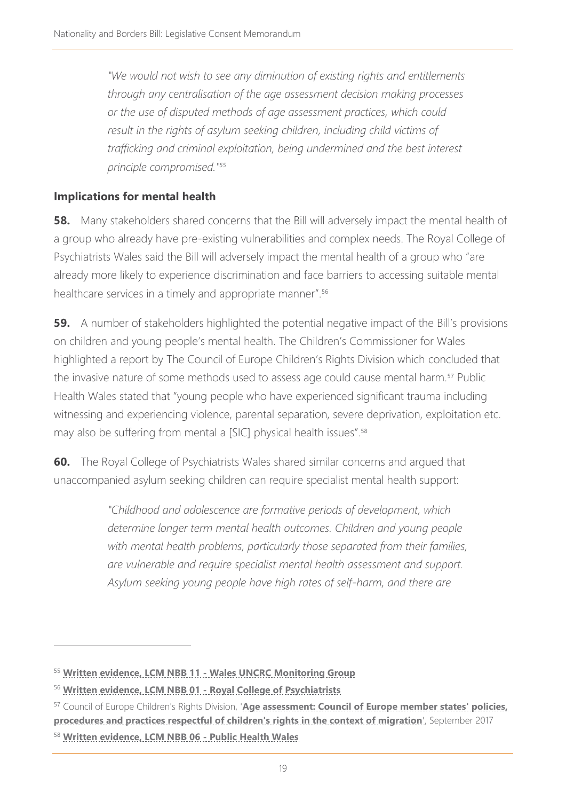*"We would not wish to see any diminution of existing rights and entitlements through any centralisation of the age assessment decision making processes or the use of disputed methods of age assessment practices, which could result in the rights of asylum seeking children, including child victims of*  trafficking and criminal exploitation, being undermined and the best interest *principle compromised." 55*

# **Implications for mental health**

**58.** Many stakeholders shared concerns that the Bill will adversely impact the mental health of a group who already have pre-existing vulnerabilities and complex needs. The Royal College of Psychiatrists Wales said the Bill will adversely impact the mental health of a group who "are already more likely to experience discrimination and face barriers to accessing suitable mental healthcare services in a timely and appropriate manner".<sup>56</sup>

**59.** A number of stakeholders highlighted the potential negative impact of the Bill's provisions on children and young people's mental health. The Children's Commissioner for Wales highlighted a report by The Council of Europe Children's Rights Division which concluded that the invasive nature of some methods used to assess age could cause mental harm.<sup>57</sup> Public Health Wales stated that "young people who have experienced significant trauma including witnessing and experiencing violence, parental separation, severe deprivation, exploitation etc. may also be suffering from mental a [SIC] physical health issues".<sup>58</sup>

**60.** The Royal College of Psychiatrists Wales shared similar concerns and argued that unaccompanied asylum seeking children can require specialist mental health support:

> *"Childhood and adolescence are formative periods of development, which determine longer term mental health outcomes. Children and young people with mental health problems, particularly those separated from their families, are vulnerable and require specialist mental health assessment and support. Asylum seeking young people have high rates of self-harm, and there are*

<sup>55</sup> **Written evidence, LCM NBB 11 - [Wales UNCRC Monitoring Group](https://business.senedd.wales/documents/s122304/LCM%20NBB%2011%20-%20UNCRC%20Monitoring%20Group.pdf)**

<sup>56</sup> **[Written evidence, LCM NBB 01 -](https://business.senedd.wales/documents/s122294/LCM%20NBB%2001%20-%20Royal%20College%20of%20Psychiatrists.pdf) Royal College of Psychiatrists**

<sup>57</sup> Council of Europe Children's Rights Division, '**[Age assessment: Council of Europe member states' policies,](https://rm.coe.int/age-assessment-council-of-europe-member-states-policies-procedures-and/168074b723)  [procedures and practices respectful of children's rights in the context of migration](https://rm.coe.int/age-assessment-council-of-europe-member-states-policies-procedures-and/168074b723)**', September 2017

<sup>58</sup> **[Written evidence, LCM NBB 06 -](https://business.senedd.wales/documents/s122299/LCM%20NBB%2006%20-%20Public%20Health%20Wales.pdf) Public Health Wales**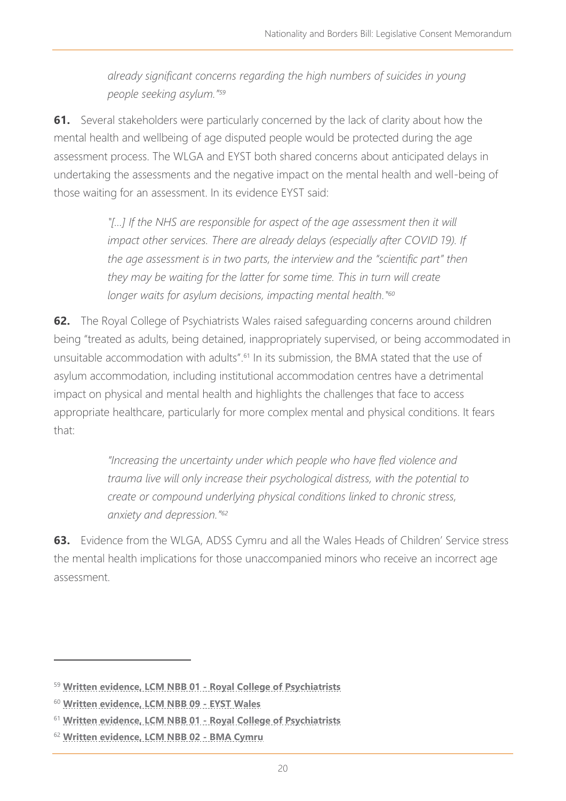*already significant concerns regarding the high numbers of suicides in young people seeking asylum."<sup>59</sup>*

**61.** Several stakeholders were particularly concerned by the lack of clarity about how the mental health and wellbeing of age disputed people would be protected during the age assessment process. The WLGA and EYST both shared concerns about anticipated delays in undertaking the assessments and the negative impact on the mental health and well-being of those waiting for an assessment. In its evidence EYST said:

> *"[…] If the NHS are responsible for aspect of the age assessment then it will impact other services. There are already delays (especially after COVID 19). If the age assessment is in two parts, the interview and the "scientific part" then they may be waiting for the latter for some time. This in turn will create*  longer waits for asylum decisions, impacting mental health."<sup>60</sup>

**62.** The Royal College of Psychiatrists Wales raised safeguarding concerns around children being "treated as adults, being detained, inappropriately supervised, or being accommodated in unsuitable accommodation with adults".<sup>61</sup> In its submission, the BMA stated that the use of asylum accommodation, including institutional accommodation centres have a detrimental impact on physical and mental health and highlights the challenges that face to access appropriate healthcare, particularly for more complex mental and physical conditions. It fears that:

> *"Increasing the uncertainty under which people who have fled violence and trauma live will only increase their psychological distress, with the potential to create or compound underlying physical conditions linked to chronic stress, anxiety and depression."<sup>62</sup>*

**63.** Evidence from the WLGA, ADSS Cymru and all the Wales Heads of Children' Service stress the mental health implications for those unaccompanied minors who receive an incorrect age assessment.

<sup>59</sup> **[Written evidence, LCM NBB 01 -](https://business.senedd.wales/documents/s122294/LCM%20NBB%2001%20-%20Royal%20College%20of%20Psychiatrists.pdf) Royal College of Psychiatrists**

<sup>60</sup> **[Written evidence, LCM NBB 09 -](https://business.senedd.wales/documents/s122302/LCM%20NBB%2009%20-%20EYST%20Wales.pdf) EYST Wales**

<sup>61</sup> **[Written evidence, LCM NBB 01 -](https://business.senedd.wales/documents/s122294/LCM%20NBB%2001%20-%20Royal%20College%20of%20Psychiatrists.pdf) Royal College of Psychiatrists**

<sup>62</sup> **[Written evidence, LCM NBB 02 -](https://business.senedd.wales/documents/s122295/LCM%20NBB%2002%20-%20BMA%20Cymru.pdf) BMA Cymru**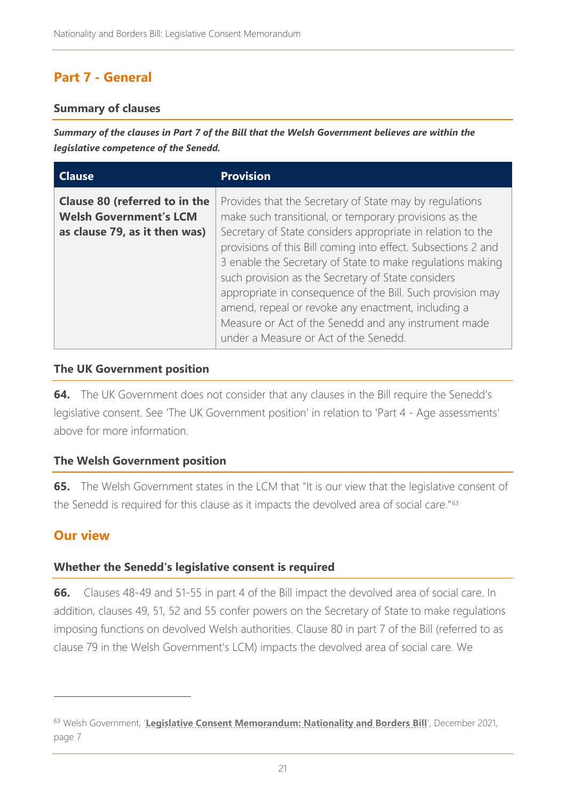# **Part 7 - General**

#### **Summary of clauses**

*Summary of the clauses in Part 7 of the Bill that the Welsh Government believes are within the legislative competence of the Senedd.*

| <b>Clause</b>                                                                                          | <b>Provision</b>                                                                                                                                                                                                                                                                                                                                                                                                                                                                                                                                                                           |
|--------------------------------------------------------------------------------------------------------|--------------------------------------------------------------------------------------------------------------------------------------------------------------------------------------------------------------------------------------------------------------------------------------------------------------------------------------------------------------------------------------------------------------------------------------------------------------------------------------------------------------------------------------------------------------------------------------------|
| <b>Clause 80 (referred to in the</b><br><b>Welsh Government's LCM</b><br>as clause 79, as it then was) | Provides that the Secretary of State may by regulations<br>make such transitional, or temporary provisions as the<br>Secretary of State considers appropriate in relation to the<br>provisions of this Bill coming into effect. Subsections 2 and<br>3 enable the Secretary of State to make regulations making<br>such provision as the Secretary of State considers<br>appropriate in consequence of the Bill. Such provision may<br>amend, repeal or revoke any enactment, including a<br>Measure or Act of the Senedd and any instrument made<br>under a Measure or Act of the Senedd. |

#### **The UK Government position**

**64.** The UK Government does not consider that any clauses in the Bill require the Senedd's legislative consent. See ['The UK Government](#page-5-0) position' in relation to 'Part 4 - [Age assessments'](#page-4-1) above for more information.

#### **The Welsh Government position**

**65.** The Welsh Government states in the LCM that "It is our view that the legislative consent of the Senedd is required for this clause as it impacts the devolved area of social care."<sup>63</sup>

# **Our view**

#### **Whether the Senedd's legislative consent is required**

**66.** Clauses 48-49 and 51-55 in part 4 of the Bill impact the devolved area of social care. In addition, clauses 49, 51, 52 and 55 confer powers on the Secretary of State to make regulations imposing functions on devolved Welsh authorities. Clause 80 in part 7 of the Bill (referred to as clause 79 in the Welsh Government's LCM) impacts the devolved area of social care. We

<sup>63</sup> Welsh Government, '[Legislative Consent Memorandum: Nationality and Borders Bill](https://senedd.wales/media/pbvlwjy5/lcm-ld14719-e.pdf)<sup>'</sup>, December 2021, page 7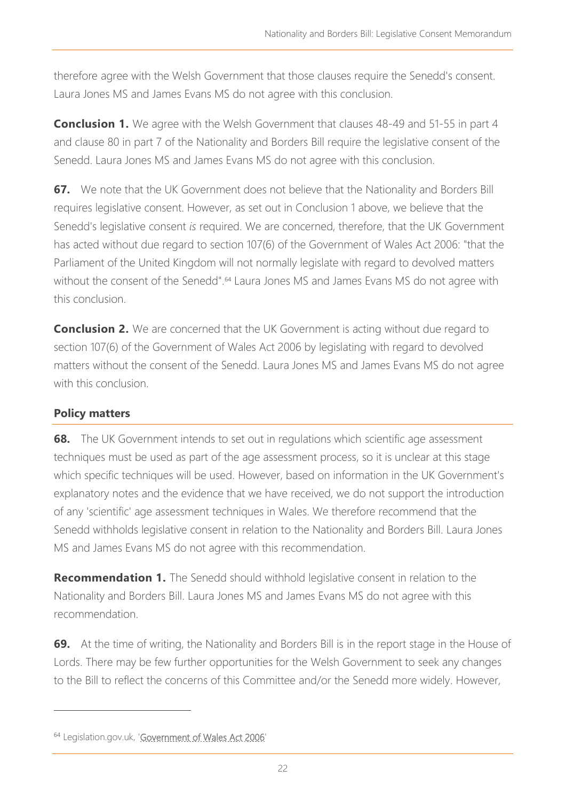therefore agree with the Welsh Government that those clauses require the Senedd's consent. Laura Jones MS and James Evans MS do not agree with this conclusion.

**Conclusion 1.** We agree with the Welsh Government that clauses 48-49 and 51-55 in part 4 and clause 80 in part 7 of the Nationality and Borders Bill require the legislative consent of the Senedd. Laura Jones MS and James Evans MS do not agree with this conclusion.

**67.** We note that the UK Government does not believe that the Nationality and Borders Bill requires legislative consent. However, as set out in Conclusion 1 above, we believe that the Senedd's legislative consent *is* required. We are concerned, therefore, that the UK Government has acted without due regard to section 107(6) of the Government of Wales Act 2006: "that the Parliament of the United Kingdom will not normally legislate with regard to devolved matters without the consent of the Senedd".<sup>64</sup> Laura Jones MS and James Evans MS do not agree with this conclusion.

**Conclusion 2.** We are concerned that the UK Government is acting without due regard to section 107(6) of the Government of Wales Act 2006 by legislating with regard to devolved matters without the consent of the Senedd. Laura Jones MS and James Evans MS do not agree with this conclusion.

# **Policy matters**

**68.** The UK Government intends to set out in regulations which scientific age assessment techniques must be used as part of the age assessment process, so it is unclear at this stage which specific techniques will be used. However, based on information in the UK Government's explanatory notes and the evidence that we have received, we do not support the introduction of any 'scientific' age assessment techniques in Wales. We therefore recommend that the Senedd withholds legislative consent in relation to the Nationality and Borders Bill. Laura Jones MS and James Evans MS do not agree with this recommendation.

**Recommendation 1.** The Senedd should withhold legislative consent in relation to the Nationality and Borders Bill. Laura Jones MS and James Evans MS do not agree with this recommendation.

**69.** At the time of writing, the Nationality and Borders Bill is in the report stage in the House of Lords. There may be few further opportunities for the Welsh Government to seek any changes to the Bill to reflect the concerns of this Committee and/or the Senedd more widely. However,

<sup>&</sup>lt;sup>64</sup> Legislation.gov.uk, ['Government of Wales Act 2006'](https://www.legislation.gov.uk/ukpga/2006/32/contents)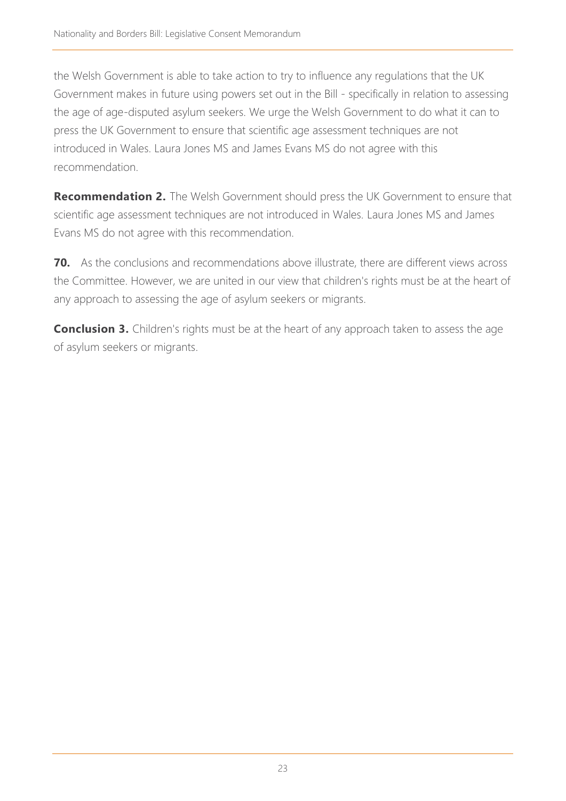the Welsh Government is able to take action to try to influence any regulations that the UK Government makes in future using powers set out in the Bill - specifically in relation to assessing the age of age-disputed asylum seekers. We urge the Welsh Government to do what it can to press the UK Government to ensure that scientific age assessment techniques are not introduced in Wales. Laura Jones MS and James Evans MS do not agree with this recommendation.

**Recommendation 2.** The Welsh Government should press the UK Government to ensure that scientific age assessment techniques are not introduced in Wales. Laura Jones MS and James Evans MS do not agree with this recommendation.

**70.** As the conclusions and recommendations above illustrate, there are different views across the Committee. However, we are united in our view that children's rights must be at the heart of any approach to assessing the age of asylum seekers or migrants.

**Conclusion 3.** Children's rights must be at the heart of any approach taken to assess the age of asylum seekers or migrants.